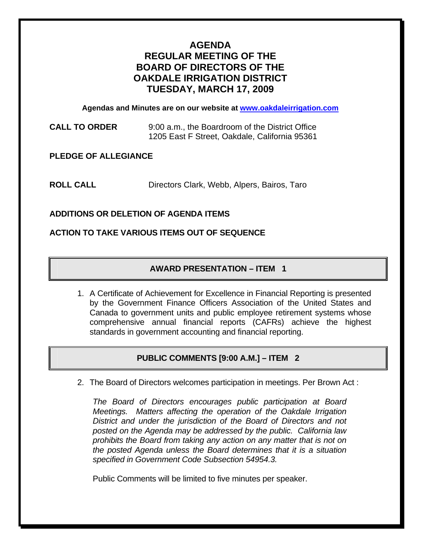# **AGENDA REGULAR MEETING OF THE BOARD OF DIRECTORS OF THE OAKDALE IRRIGATION DISTRICT TUESDAY, MARCH 17, 2009**

**Agendas and Minutes are on our website at [www.oakdaleirrigation.com](http://www.oakdaleirrigation.com/)**

**CALL TO ORDER** 9:00 a.m., the Boardroom of the District Office 1205 East F Street, Oakdale, California 95361

**PLEDGE OF ALLEGIANCE** 

**ROLL CALL** Directors Clark, Webb, Alpers, Bairos, Taro

## **ADDITIONS OR DELETION OF AGENDA ITEMS**

#### **ACTION TO TAKE VARIOUS ITEMS OUT OF SEQUENCE**

## **AWARD PRESENTATION – ITEM 1**

1. A Certificate of Achievement for Excellence in Financial Reporting is presented by the Government Finance Officers Association of the United States and Canada to government units and public employee retirement systems whose comprehensive annual financial reports (CAFRs) achieve the highest standards in government accounting and financial reporting.

# **PUBLIC COMMENTS [9:00 A.M.] – ITEM 2**

2. The Board of Directors welcomes participation in meetings. Per Brown Act :

*The Board of Directors encourages public participation at Board Meetings. Matters affecting the operation of the Oakdale Irrigation District and under the jurisdiction of the Board of Directors and not posted on the Agenda may be addressed by the public. California law prohibits the Board from taking any action on any matter that is not on the posted Agenda unless the Board determines that it is a situation specified in Government Code Subsection 54954.3.*

Public Comments will be limited to five minutes per speaker.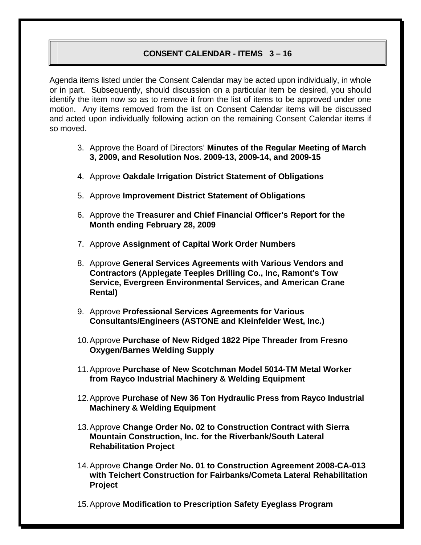#### **CONSENT CALENDAR - ITEMS 3 – 16**

Agenda items listed under the Consent Calendar may be acted upon individually, in whole or in part. Subsequently, should discussion on a particular item be desired, you should identify the item now so as to remove it from the list of items to be approved under one motion. Any items removed from the list on Consent Calendar items will be discussed and acted upon individually following action on the remaining Consent Calendar items if so moved.

- 3. Approve the Board of Directors' **Minutes of the Regular Meeting of March 3, 2009, and Resolution Nos. 2009-13, 2009-14, and 2009-15**
- 4. Approve **Oakdale Irrigation District Statement of Obligations**
- 5. Approve **Improvement District Statement of Obligations**
- 6. Approve the **Treasurer and Chief Financial Officer's Report for the Month ending February 28, 2009**
- 7. Approve **Assignment of Capital Work Order Numbers**
- 8. Approve **General Services Agreements with Various Vendors and Contractors (Applegate Teeples Drilling Co., Inc, Ramont's Tow Service, Evergreen Environmental Services, and American Crane Rental)**
- 9. Approve **Professional Services Agreements for Various Consultants/Engineers (ASTONE and Kleinfelder West, Inc.)**
- 10. Approve **Purchase of New Ridged 1822 Pipe Threader from Fresno Oxygen/Barnes Welding Supply**
- 11. Approve **Purchase of New Scotchman Model 5014-TM Metal Worker from Rayco Industrial Machinery & Welding Equipment**
- 12. Approve **Purchase of New 36 Ton Hydraulic Press from Rayco Industrial Machinery & Welding Equipment**
- 13. Approve **Change Order No. 02 to Construction Contract with Sierra Mountain Construction, Inc. for the Riverbank/South Lateral Rehabilitation Project**
- 14. Approve **Change Order No. 01 to Construction Agreement 2008-CA-013 with Teichert Construction for Fairbanks/Cometa Lateral Rehabilitation Project**
- 15. Approve **Modification to Prescription Safety Eyeglass Program**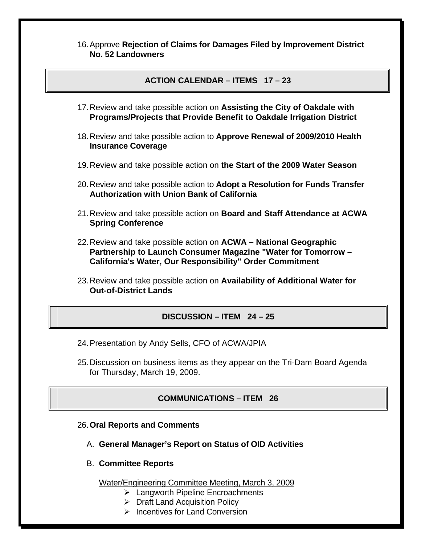16. Approve **Rejection of Claims for Damages Filed by Improvement District No. 52 Landowners**

#### **ACTION CALENDAR – ITEMS 17 – 23**

- 17. Review and take possible action on **Assisting the City of Oakdale with Programs/Projects that Provide Benefit to Oakdale Irrigation District**
- 18. Review and take possible action to **Approve Renewal of 2009/2010 Health Insurance Coverage**
- 19. Review and take possible action on **the Start of the 2009 Water Season**
- 20. Review and take possible action to **Adopt a Resolution for Funds Transfer Authorization with Union Bank of California**
- 21. Review and take possible action on **Board and Staff Attendance at ACWA Spring Conference**
- 22. Review and take possible action on **ACWA National Geographic Partnership to Launch Consumer Magazine "Water for Tomorrow – California's Water, Our Responsibility" Order Commitment**
- 23. Review and take possible action on **Availability of Additional Water for Out-of-District Lands**

## **DISCUSSION – ITEM 24 – 25**

- 24. Presentation by Andy Sells, CFO of ACWA/JPIA
- 25. Discussion on business items as they appear on the Tri-Dam Board Agenda for Thursday, March 19, 2009.

## **COMMUNICATIONS – ITEM 26**

#### 26.**Oral Reports and Comments**

- A. **General Manager's Report on Status of OID Activities**
- B. **Committee Reports**

Water/Engineering Committee Meeting, March 3, 2009

- $\triangleright$  Langworth Pipeline Encroachments
- ¾ Draft Land Acquisition Policy
- $\triangleright$  Incentives for Land Conversion